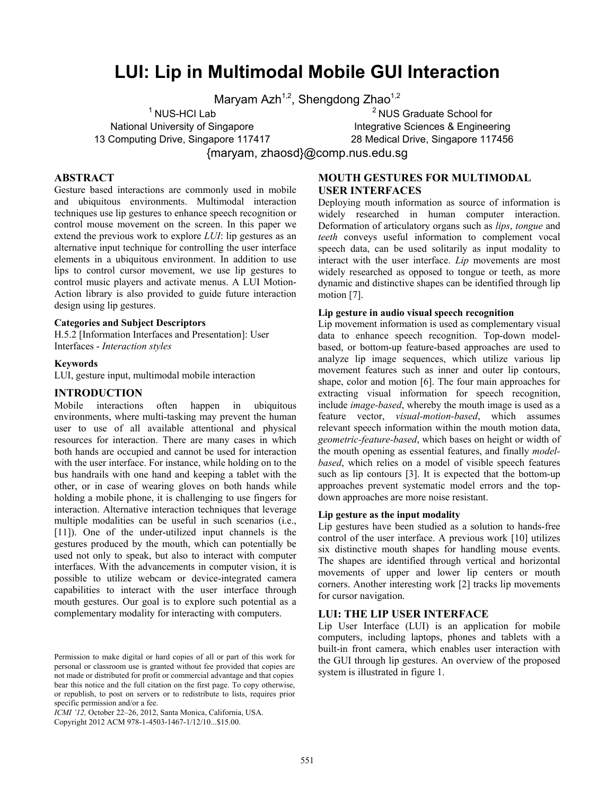# **LUI: Lip in Multimodal Mobile GUI Interaction**

Maryam Azh<sup>1,2</sup>, Shengdong Zhao<sup>1,2</sup>

 $^1$  NUS-HCI Lab National University of Singapore

13 Computing Drive, Singapore 117417

<sup>2</sup> NUS Graduate School for Integrative Sciences & Engineering 28 Medical Drive, Singapore 117456

{maryam, zhaosd}@comp.nus.edu.sg

## **ABSTRACT**

Gesture based interactions are commonly used in mobile and ubiquitous environments. Multimodal interaction techniques use lip gestures to enhance speech recognition or control mouse movement on the screen. In this paper we extend the previous work to explore *LUI*: lip gestures as an alternative input technique for controlling the user interface elements in a ubiquitous environment. In addition to use lips to control cursor movement, we use lip gestures to control music players and activate menus. A LUI Motion-Action library is also provided to guide future interaction design using lip gestures.

#### **Categories and Subject Descriptors**

H.5.2 [Information Interfaces and Presentation]: User Interfaces - *Interaction styles*

## **Keywords**

LUI, gesture input, multimodal mobile interaction

## **INTRODUCTION**

Mobile interactions often happen in ubiquitous environments, where multi-tasking may prevent the human user to use of all available attentional and physical resources for interaction. There are many cases in which both hands are occupied and cannot be used for interaction with the user interface. For instance, while holding on to the bus handrails with one hand and keeping a tablet with the other, or in case of wearing gloves on both hands while holding a mobile phone, it is challenging to use fingers for interaction. Alternative interaction techniques that leverage multiple modalities can be useful in such scenarios (i.e., [11]). One of the under-utilized input channels is the gestures produced by the mouth, which can potentially be used not only to speak, but also to interact with computer interfaces. With the advancements in computer vision, it is possible to utilize webcam or device-integrated camera capabilities to interact with the user interface through mouth gestures. Our goal is to explore such potential as a complementary modality for interacting with computers.

*ICMI '12,* October 22–26, 2012, Santa Monica, California, USA.

Copyright 2012 ACM 978-1-4503-1467-1/12/10...\$15.00.

## **MOUTH GESTURES FOR MULTIMODAL USER INTERFACES**

Deploying mouth information as source of information is widely researched in human computer interaction. Deformation of articulatory organs such as *lips*, *tongue* and *teeth* conveys useful information to complement vocal speech data, can be used solitarily as input modality to interact with the user interface. *Lip* movements are most widely researched as opposed to tongue or teeth, as more dynamic and distinctive shapes can be identified through lip motion [7].

#### **Lip gesture in audio visual speech recognition**

Lip movement information is used as complementary visual data to enhance speech recognition. Top-down modelbased, or bottom-up feature-based approaches are used to analyze lip image sequences, which utilize various lip movement features such as inner and outer lip contours, shape, color and motion [6]. The four main approaches for extracting visual information for speech recognition, include *image-based*, whereby the mouth image is used as a feature vector, *visual-motion-based*, which assumes relevant speech information within the mouth motion data, *geometric-feature-based*, which bases on height or width of the mouth opening as essential features, and finally *modelbased*, which relies on a model of visible speech features such as lip contours [3]. It is expected that the bottom-up approaches prevent systematic model errors and the topdown approaches are more noise resistant.

#### **Lip gesture as the input modality**

Lip gestures have been studied as a solution to hands-free control of the user interface. A previous work [10] utilizes six distinctive mouth shapes for handling mouse events. The shapes are identified through vertical and horizontal movements of upper and lower lip centers or mouth corners. Another interesting work [2] tracks lip movements for cursor navigation.

#### **LUI: THE LIP USER INTERFACE**

Lip User Interface (LUI) is an application for mobile computers, including laptops, phones and tablets with a built-in front camera, which enables user interaction with the GUI through lip gestures. An overview of the proposed system is illustrated in figure 1.

Permission to make digital or hard copies of all or part of this work for personal or classroom use is granted without fee provided that copies are not made or distributed for profit or commercial advantage and that copies bear this notice and the full citation on the first page. To copy otherwise, or republish, to post on servers or to redistribute to lists, requires prior specific permission and/or a fee.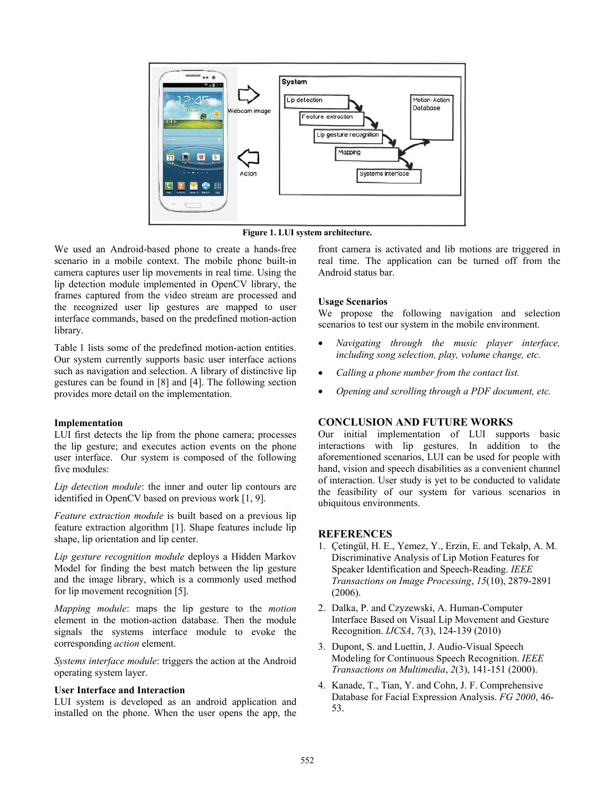

**Figure 1. LUI system architecture.** 

We used an Android-based phone to create a hands-free scenario in a mobile context. The mobile phone built-in camera captures user lip movements in real time. Using the lip detection module implemented in OpenCV library, the frames captured from the video stream are processed and the recognized user lip gestures are mapped to user interface commands, based on the predefined motion-action library.

Table 1 lists some of the predefined motion-action entities. Our system currently supports basic user interface actions such as navigation and selection. A library of distinctive lip gestures can be found in [8] and [4]. The following section provides more detail on the implementation.

## **Implementation**

LUI first detects the lip from the phone camera; processes the lip gesture; and executes action events on the phone user interface. Our system is composed of the following five modules:

*Lip detection module*: the inner and outer lip contours are identified in OpenCV based on previous work [1, 9].

*Feature extraction module* is built based on a previous lip feature extraction algorithm [1]. Shape features include lip shape, lip orientation and lip center.

*Lip gesture recognition module* deploys a Hidden Markov Model for finding the best match between the lip gesture and the image library, which is a commonly used method for lip movement recognition [5].

*Mapping module*: maps the lip gesture to the *motion* element in the motion-action database. Then the module signals the systems interface module to evoke the corresponding *action* element.

*Systems interface module*: triggers the action at the Android operating system layer.

## **User Interface and Interaction**

LUI system is developed as an android application and installed on the phone. When the user opens the app, the front camera is activated and lib motions are triggered in real time. The application can be turned off from the Android status bar.

## **Usage Scenarios**

We propose the following navigation and selection scenarios to test our system in the mobile environment.

- *Navigating through the music player interface, including song selection, play, volume change, etc.*
- *Calling a phone number from the contact list.*
- *Opening and scrolling through a PDF document, etc.*

## **CONCLUSION AND FUTURE WORKS**

Our initial implementation of LUI supports basic interactions with lip gestures. In addition to the aforementioned scenarios, LUI can be used for people with hand, vision and speech disabilities as a convenient channel of interaction. User study is yet to be conducted to validate the feasibility of our system for various scenarios in ubiquitous environments.

## **REFERENCES**

- 1. Çetingül, H. E., Yemez, Y., Erzin, E. and Tekalp, A. M. Discriminative Analysis of Lip Motion Features for Speaker Identification and Speech-Reading. *IEEE Transactions on Image Processing*, *15*(10), 2879-2891 (2006).
- 2. Dalka, P. and Czyzewski, A. Human-Computer Interface Based on Visual Lip Movement and Gesture Recognition. *IJCSA*, *7*(3), 124-139 (2010)
- 3. Dupont, S. and Luettin, J. Audio-Visual Speech Modeling for Continuous Speech Recognition. *IEEE Transactions on Multimedia*, *2*(3), 141-151 (2000).
- 4. Kanade, T., Tian, Y. and Cohn, J. F. Comprehensive Database for Facial Expression Analysis. *FG 2000*, 46- 53.